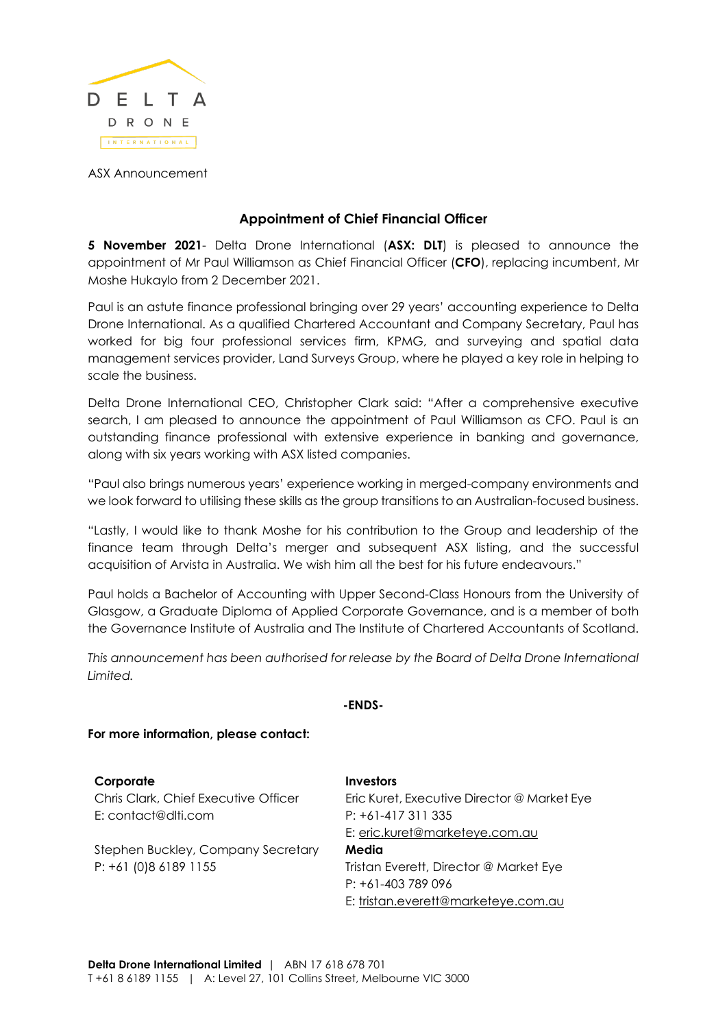

ASX Announcement

## **Appointment of Chief Financial Officer**

**5 November 2021**- Delta Drone International (**ASX: DLT**) is pleased to announce the appointment of Mr Paul Williamson as Chief Financial Officer (**CFO**), replacing incumbent, Mr Moshe Hukaylo from 2 December 2021.

Paul is an astute finance professional bringing over 29 years' accounting experience to Delta Drone International. As a qualified Chartered Accountant and Company Secretary, Paul has worked for big four professional services firm, KPMG, and surveying and spatial data management services provider, Land Surveys Group, where he played a key role in helping to scale the business.

Delta Drone International CEO, Christopher Clark said: "After a comprehensive executive search, I am pleased to announce the appointment of Paul Williamson as CFO. Paul is an outstanding finance professional with extensive experience in banking and governance, along with six years working with ASX listed companies.

"Paul also brings numerous years' experience working in merged-company environments and we look forward to utilising these skills as the group transitions to an Australian-focused business.

"Lastly, I would like to thank Moshe for his contribution to the Group and leadership of the finance team through Delta's merger and subsequent ASX listing, and the successful acquisition of Arvista in Australia. We wish him all the best for his future endeavours."

Paul holds a Bachelor of Accounting with Upper Second-Class Honours from the University of Glasgow, a Graduate Diploma of Applied Corporate Governance, and is a member of both the Governance Institute of Australia and The Institute of Chartered Accountants of Scotland.

*This announcement has been authorised for release by the Board of Delta Drone International Limited.*

## **-ENDS-**

## **For more information, please contact:**

| Corporate                            | Investors                                   |
|--------------------------------------|---------------------------------------------|
| Chris Clark, Chief Executive Officer | Eric Kuret, Executive Director @ Market Eye |
| E: contact@dlti.com                  | $P: +61-417311335$                          |
|                                      | E: eric.kuret@marketeye.com.au              |
| Stephen Buckley, Company Secretary   | Media                                       |
| P: +61 (0)8 6189 1155                | Tristan Everett, Director @ Market Eye      |
|                                      | $P: +61-403789096$                          |
|                                      | E: tristan.everett@marketeye.com.au         |